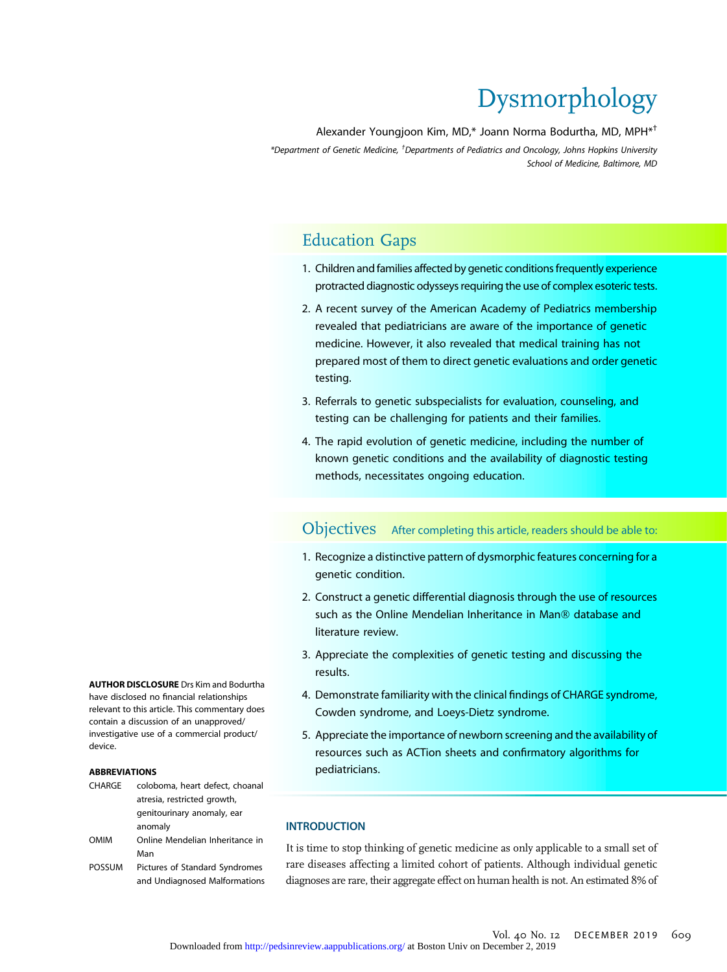# Dysmorphology

## Alexander Youngjoon Kim, MD,\* Joann Norma Bodurtha, MD, MPH\*†

\*Department of Genetic Medicine, <sup>†</sup>Departments of Pediatrics and Oncology, Johns Hopkins University School of Medicine, Baltimore, MD

# Education Gaps

- 1. Children and families affected by genetic conditions frequently experience protracted diagnostic odysseys requiring the use of complex esoteric tests.
- 2. A recent survey of the American Academy of Pediatrics membership revealed that pediatricians are aware of the importance of genetic medicine. However, it also revealed that medical training has not prepared most of them to direct genetic evaluations and order genetic testing.
- 3. Referrals to genetic subspecialists for evaluation, counseling, and testing can be challenging for patients and their families.
- 4. The rapid evolution of genetic medicine, including the number of known genetic conditions and the availability of diagnostic testing methods, necessitates ongoing education.

## Objectives After completing this article, readers should be able to:

- 1. Recognize a distinctive pattern of dysmorphic features concerning for a genetic condition.
- 2. Construct a genetic differential diagnosis through the use of resources such as the Online Mendelian Inheritance in Man<sup>®</sup> database and literature review.
- 3. Appreciate the complexities of genetic testing and discussing the results.
- 4. Demonstrate familiarity with the clinical findings of CHARGE syndrome, Cowden syndrome, and Loeys-Dietz syndrome.
- 5. Appreciate the importance of newborn screening and the availability of resources such as ACTion sheets and confirmatory algorithms for pediatricians.

#### **INTRODUCTION**

It is time to stop thinking of genetic medicine as only applicable to a small set of rare diseases affecting a limited cohort of patients. Although individual genetic diagnoses are rare, their aggregate effect on human health is not. An estimated 8% of

AUTHOR DISCLOSURE Drs Kim and Bodurtha have disclosed no financial relationships relevant to this article. This commentary does contain a discussion of an unapproved/ investigative use of a commercial product/ device.

#### ABBREVIATIONS

CHARGE coloboma, heart defect, choanal atresia, restricted growth, genitourinary anomaly, ear anomaly OMIM Online Mendelian Inheritance in Man POSSUM Pictures of Standard Syndromes and Undiagnosed Malformations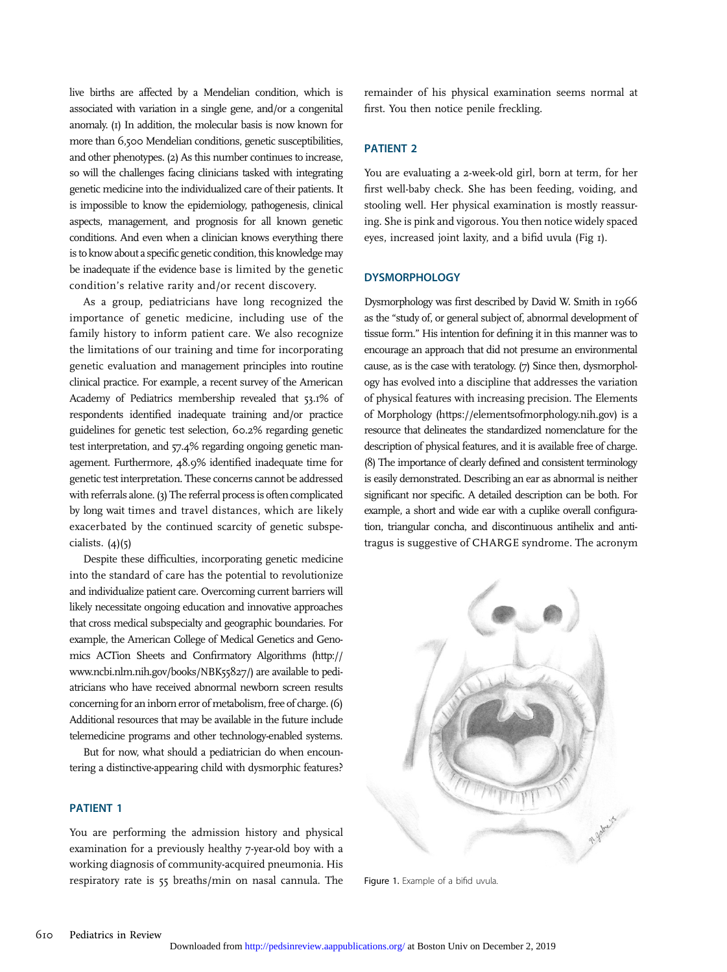live births are affected by a Mendelian condition, which is associated with variation in a single gene, and/or a congenital anomaly. (1) In addition, the molecular basis is now known for more than 6,500 Mendelian conditions, genetic susceptibilities, and other phenotypes. (2) As this number continues to increase, so will the challenges facing clinicians tasked with integrating genetic medicine into the individualized care of their patients. It is impossible to know the epidemiology, pathogenesis, clinical aspects, management, and prognosis for all known genetic conditions. And even when a clinician knows everything there is to know about a specific genetic condition, this knowledge may be inadequate if the evidence base is limited by the genetic condition's relative rarity and/or recent discovery.

As a group, pediatricians have long recognized the importance of genetic medicine, including use of the family history to inform patient care. We also recognize the limitations of our training and time for incorporating genetic evaluation and management principles into routine clinical practice. For example, a recent survey of the American Academy of Pediatrics membership revealed that 53.1% of respondents identified inadequate training and/or practice guidelines for genetic test selection, 60.2% regarding genetic test interpretation, and 57.4% regarding ongoing genetic management. Furthermore, 48.9% identified inadequate time for genetic test interpretation. These concerns cannot be addressed with referrals alone. (3) The referral process is often complicated by long wait times and travel distances, which are likely exacerbated by the continued scarcity of genetic subspecialists.  $(4)(5)$ 

Despite these difficulties, incorporating genetic medicine into the standard of care has the potential to revolutionize and individualize patient care. Overcoming current barriers will likely necessitate ongoing education and innovative approaches that cross medical subspecialty and geographic boundaries. For example, the American College of Medical Genetics and Genomics ACTion Sheets and Confirmatory Algorithms [\(http://](http://www.ncbi.nlm.nih.gov/books/NBK55827/) [www.ncbi.nlm.nih.gov/books/NBK55827/\)](http://www.ncbi.nlm.nih.gov/books/NBK55827/) are available to pediatricians who have received abnormal newborn screen results concerning for an inborn error of metabolism, free of charge. (6) Additional resources that may be available in the future include telemedicine programs and other technology-enabled systems.

But for now, what should a pediatrician do when encountering a distinctive-appearing child with dysmorphic features?

## PATIENT 1

You are performing the admission history and physical examination for a previously healthy 7-year-old boy with a working diagnosis of community-acquired pneumonia. His respiratory rate is 55 breaths/min on nasal cannula. The remainder of his physical examination seems normal at first. You then notice penile freckling.

## PATIENT 2

You are evaluating a 2-week-old girl, born at term, for her first well-baby check. She has been feeding, voiding, and stooling well. Her physical examination is mostly reassuring. She is pink and vigorous. You then notice widely spaced eyes, increased joint laxity, and a bifid uvula (Fig 1).

### **DYSMORPHOLOGY**

Dysmorphology was first described by David W. Smith in 1966 as the "study of, or general subject of, abnormal development of tissue form." His intention for defining it in this manner was to encourage an approach that did not presume an environmental cause, as is the case with teratology. (7) Since then, dysmorphology has evolved into a discipline that addresses the variation of physical features with increasing precision. The Elements of Morphology [\(https://elementsofmorphology.nih.gov](https://elementsofmorphology.nih.gov)) is a resource that delineates the standardized nomenclature for the description of physical features, and it is available free of charge. (8) The importance of clearly defined and consistent terminology is easily demonstrated. Describing an ear as abnormal is neither significant nor specific. A detailed description can be both. For example, a short and wide ear with a cuplike overall configuration, triangular concha, and discontinuous antihelix and antitragus is suggestive of CHARGE syndrome. The acronym



Figure 1. Example of a bifid uvula.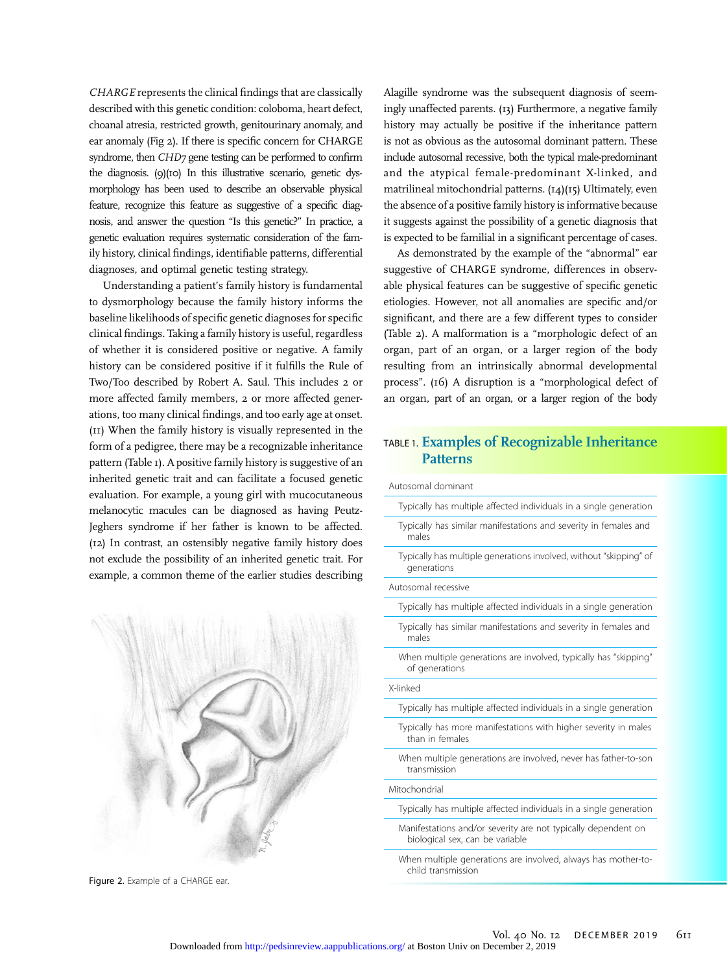CHARGE represents the clinical findings that are classically described with this genetic condition: coloboma, heart defect, choanal atresia, restricted growth, genitourinary anomaly, and ear anomaly (Fig 2). If there is specific concern for CHARGE syndrome, then CHD7 gene testing can be performed to confirm the diagnosis. (9)(10) In this illustrative scenario, genetic dysmorphology has been used to describe an observable physical feature, recognize this feature as suggestive of a specific diagnosis, and answer the question "Is this genetic?" In practice, a genetic evaluation requires systematic consideration of the family history, clinical findings, identifiable patterns, differential diagnoses, and optimal genetic testing strategy.

Understanding a patient's family history is fundamental to dysmorphology because the family history informs the baseline likelihoods of specific genetic diagnoses for specific clinical findings. Taking a family history is useful, regardless of whether it is considered positive or negative. A family history can be considered positive if it fulfills the Rule of Two/Too described by Robert A. Saul. This includes 2 or more affected family members, 2 or more affected generations, too many clinical findings, and too early age at onset. (11) When the family history is visually represented in the form of a pedigree, there may be a recognizable inheritance pattern (Table 1). A positive family history is suggestive of an inherited genetic trait and can facilitate a focused genetic evaluation. For example, a young girl with mucocutaneous melanocytic macules can be diagnosed as having Peutz-Jeghers syndrome if her father is known to be affected. (12) In contrast, an ostensibly negative family history does not exclude the possibility of an inherited genetic trait. For example, a common theme of the earlier studies describing



Figure 2. Example of a CHARGE ear.

Alagille syndrome was the subsequent diagnosis of seemingly unaffected parents. (13) Furthermore, a negative family history may actually be positive if the inheritance pattern is not as obvious as the autosomal dominant pattern. These include autosomal recessive, both the typical male-predominant and the atypical female-predominant X-linked, and matrilineal mitochondrial patterns. (14)(15) Ultimately, even the absence of a positive family history is informative because it suggests against the possibility of a genetic diagnosis that is expected to be familial in a significant percentage of cases.

As demonstrated by the example of the "abnormal" ear suggestive of CHARGE syndrome, differences in observable physical features can be suggestive of specific genetic etiologies. However, not all anomalies are specific and/or significant, and there are a few different types to consider (Table 2). A malformation is a "morphologic defect of an organ, part of an organ, or a larger region of the body resulting from an intrinsically abnormal developmental process". (16) A disruption is a "morphological defect of an organ, part of an organ, or a larger region of the body

## TABLE 1. Examples of Recognizable Inheritance Patterns

| Autosomal dominant                                                                               |
|--------------------------------------------------------------------------------------------------|
| Typically has multiple affected individuals in a single generation                               |
| Typically has similar manifestations and severity in females and<br>males                        |
| Typically has multiple generations involved, without "skipping" of<br>generations                |
| Autosomal recessive                                                                              |
| Typically has multiple affected individuals in a single generation                               |
| Typically has similar manifestations and severity in females and<br>males                        |
| When multiple generations are involved, typically has "skipping"<br>of generations               |
| X-linked                                                                                         |
| Typically has multiple affected individuals in a single generation                               |
| Typically has more manifestations with higher severity in males<br>than in females               |
| When multiple generations are involved, never has father-to-son<br>transmission                  |
| Mitochondrial                                                                                    |
| Typically has multiple affected individuals in a single generation                               |
| Manifestations and/or severity are not typically dependent on<br>biological sex, can be variable |

When multiple generations are involved, always has mother-tochild transmission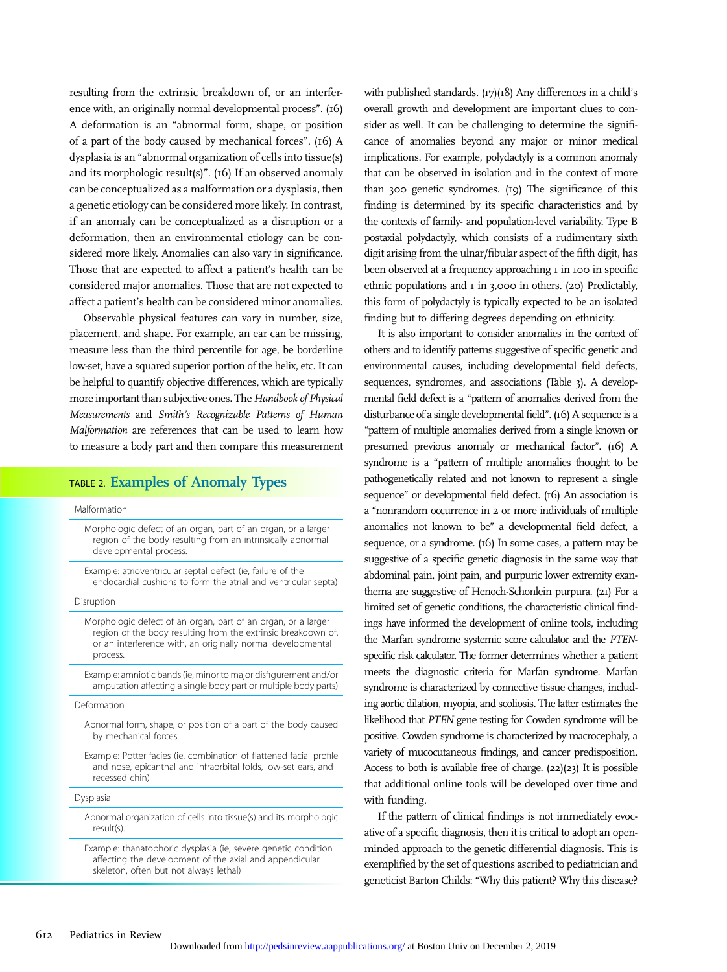resulting from the extrinsic breakdown of, or an interference with, an originally normal developmental process". (16) A deformation is an "abnormal form, shape, or position of a part of the body caused by mechanical forces". (16) A dysplasia is an "abnormal organization of cells into tissue(s) and its morphologic result(s)". (16) If an observed anomaly can be conceptualized as a malformation or a dysplasia, then a genetic etiology can be considered more likely. In contrast, if an anomaly can be conceptualized as a disruption or a deformation, then an environmental etiology can be considered more likely. Anomalies can also vary in significance. Those that are expected to affect a patient's health can be considered major anomalies. Those that are not expected to affect a patient's health can be considered minor anomalies.

Observable physical features can vary in number, size, placement, and shape. For example, an ear can be missing, measure less than the third percentile for age, be borderline low-set, have a squared superior portion of the helix, etc. It can be helpful to quantify objective differences, which are typically more important than subjective ones. The Handbook of Physical Measurements and Smith's Recognizable Patterns of Human Malformation are references that can be used to learn how to measure a body part and then compare this measurement

## TABLE 2. Examples of Anomaly Types

Malformation

Morphologic defect of an organ, part of an organ, or a larger region of the body resulting from an intrinsically abnormal developmental process.

Example: atrioventricular septal defect (ie, failure of the endocardial cushions to form the atrial and ventricular septa)

#### Disruption

Morphologic defect of an organ, part of an organ, or a larger region of the body resulting from the extrinsic breakdown of, or an interference with, an originally normal developmental process.

Example: amniotic bands (ie, minor to major disfigurement and/or amputation affecting a single body part or multiple body parts)

#### Deformation

Abnormal form, shape, or position of a part of the body caused by mechanical forces.

Example: Potter facies (ie, combination of flattened facial profile and nose, epicanthal and infraorbital folds, low-set ears, and recessed chin)

#### Dysplasia

Abnormal organization of cells into tissue(s) and its morphologic result(s).

Example: thanatophoric dysplasia (ie, severe genetic condition affecting the development of the axial and appendicular skeleton, often but not always lethal)

with published standards.  $(17)(18)$  Any differences in a child's overall growth and development are important clues to consider as well. It can be challenging to determine the significance of anomalies beyond any major or minor medical implications. For example, polydactyly is a common anomaly that can be observed in isolation and in the context of more than 300 genetic syndromes. (19) The significance of this finding is determined by its specific characteristics and by the contexts of family- and population-level variability. Type B postaxial polydactyly, which consists of a rudimentary sixth digit arising from the ulnar/fibular aspect of the fifth digit, has been observed at a frequency approaching 1 in 100 in specific ethnic populations and 1 in 3,000 in others. (20) Predictably, this form of polydactyly is typically expected to be an isolated finding but to differing degrees depending on ethnicity.

It is also important to consider anomalies in the context of others and to identify patterns suggestive of specific genetic and environmental causes, including developmental field defects, sequences, syndromes, and associations (Table 3). A developmental field defect is a "pattern of anomalies derived from the disturbance of a single developmental field". (16) A sequence is a "pattern of multiple anomalies derived from a single known or presumed previous anomaly or mechanical factor". (16) A syndrome is a "pattern of multiple anomalies thought to be pathogenetically related and not known to represent a single sequence" or developmental field defect. (16) An association is a "nonrandom occurrence in 2 or more individuals of multiple anomalies not known to be" a developmental field defect, a sequence, or a syndrome. (16) In some cases, a pattern may be suggestive of a specific genetic diagnosis in the same way that abdominal pain, joint pain, and purpuric lower extremity exanthema are suggestive of Henoch-Schonlein purpura. (21) For a limited set of genetic conditions, the characteristic clinical findings have informed the development of online tools, including the Marfan syndrome systemic score calculator and the PTENspecific risk calculator. The former determines whether a patient meets the diagnostic criteria for Marfan syndrome. Marfan syndrome is characterized by connective tissue changes, including aortic dilation, myopia, and scoliosis. The latter estimates the likelihood that PTEN gene testing for Cowden syndrome will be positive. Cowden syndrome is characterized by macrocephaly, a variety of mucocutaneous findings, and cancer predisposition. Access to both is available free of charge.  $(22)(23)$  It is possible that additional online tools will be developed over time and with funding.

If the pattern of clinical findings is not immediately evocative of a specific diagnosis, then it is critical to adopt an openminded approach to the genetic differential diagnosis. This is exemplified by the set of questions ascribed to pediatrician and geneticist Barton Childs: "Why this patient? Why this disease?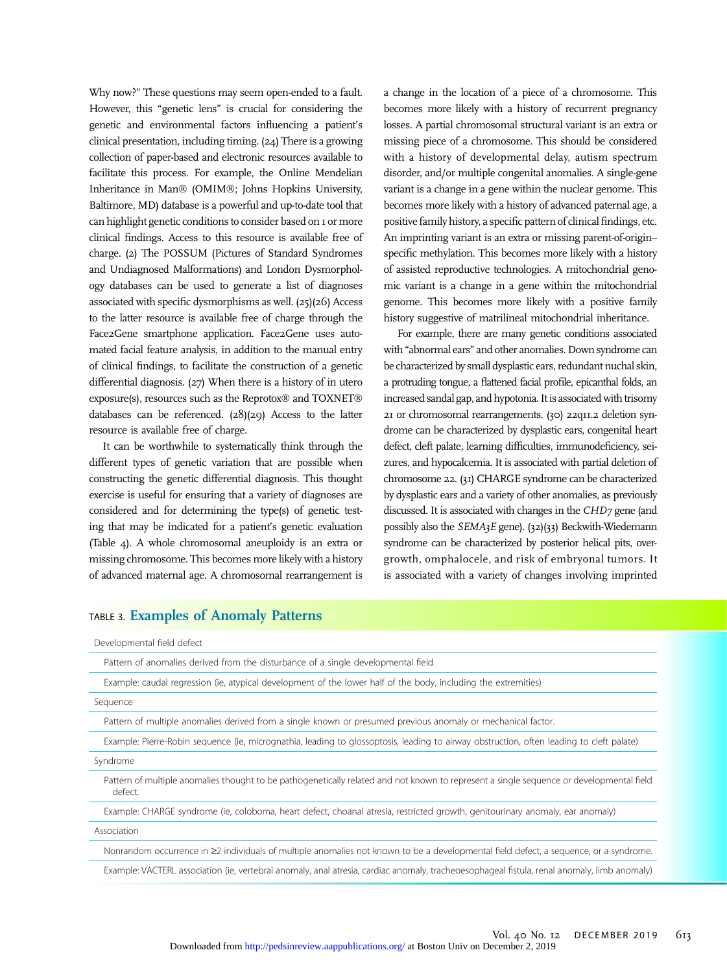Why now?" These questions may seem open-ended to a fault. However, this "genetic lens" is crucial for considering the genetic and environmental factors influencing a patient's clinical presentation, including timing. (24) There is a growing collection of paper-based and electronic resources available to facilitate this process. For example, the Online Mendelian Inheritance in Man® (OMIM®; Johns Hopkins University, Baltimore, MD) database is a powerful and up-to-date tool that can highlight genetic conditions to consider based on 1 or more clinical findings. Access to this resource is available free of charge. (2) The POSSUM (Pictures of Standard Syndromes and Undiagnosed Malformations) and London Dysmorphology databases can be used to generate a list of diagnoses associated with specific dysmorphisms as well. (25)(26) Access to the latter resource is available free of charge through the Face2Gene smartphone application. Face2Gene uses automated facial feature analysis, in addition to the manual entry of clinical findings, to facilitate the construction of a genetic differential diagnosis. (27) When there is a history of in utero exposure(s), resources such as the Reprotox® and TOXNET® databases can be referenced. (28)(29) Access to the latter resource is available free of charge.

It can be worthwhile to systematically think through the different types of genetic variation that are possible when constructing the genetic differential diagnosis. This thought exercise is useful for ensuring that a variety of diagnoses are considered and for determining the type(s) of genetic testing that may be indicated for a patient's genetic evaluation (Table 4). A whole chromosomal aneuploidy is an extra or missing chromosome. This becomes more likely with a history of advanced maternal age. A chromosomal rearrangement is

a change in the location of a piece of a chromosome. This becomes more likely with a history of recurrent pregnancy losses. A partial chromosomal structural variant is an extra or missing piece of a chromosome. This should be considered with a history of developmental delay, autism spectrum disorder, and/or multiple congenital anomalies. A single-gene variant is a change in a gene within the nuclear genome. This becomes more likely with a history of advanced paternal age, a positive family history, a specific pattern of clinical findings, etc. An imprinting variant is an extra or missing parent-of-origin– specific methylation. This becomes more likely with a history of assisted reproductive technologies. A mitochondrial genomic variant is a change in a gene within the mitochondrial genome. This becomes more likely with a positive family history suggestive of matrilineal mitochondrial inheritance.

For example, there are many genetic conditions associated with "abnormal ears" and other anomalies. Down syndrome can be characterized by small dysplastic ears, redundant nuchal skin, a protruding tongue, a flattened facial profile, epicanthal folds, an increased sandal gap, and hypotonia. It is associated with trisomy 21 or chromosomal rearrangements. (30) 22q11.2 deletion syndrome can be characterized by dysplastic ears, congenital heart defect, cleft palate, learning difficulties, immunodeficiency, seizures, and hypocalcemia. It is associated with partial deletion of chromosome 22. (31) CHARGE syndrome can be characterized by dysplastic ears and a variety of other anomalies, as previously discussed. It is associated with changes in the CHD7 gene (and possibly also the SEMA3E gene). (32)(33) Beckwith-Wiedemann syndrome can be characterized by posterior helical pits, overgrowth, omphalocele, and risk of embryonal tumors. It is associated with a variety of changes involving imprinted

## TABLE 3. Examples of Anomaly Patterns

Developmental field defect

| Developmental nelu delect                                                                                                                           |
|-----------------------------------------------------------------------------------------------------------------------------------------------------|
| Pattern of anomalies derived from the disturbance of a single developmental field.                                                                  |
| Example: caudal regression (ie, atypical development of the lower half of the body, including the extremities)                                      |
| Sequence                                                                                                                                            |
| Pattern of multiple anomalies derived from a single known or presumed previous anomaly or mechanical factor.                                        |
| Example: Pierre-Robin sequence (ie, micrognathia, leading to glossoptosis, leading to airway obstruction, often leading to cleft palate)            |
| Syndrome                                                                                                                                            |
| Pattern of multiple anomalies thought to be pathogenetically related and not known to represent a single sequence or developmental field<br>defect. |
| Example: CHARGE syndrome (ie, coloboma, heart defect, choanal atresia, restricted growth, genitourinary anomaly, ear anomaly)                       |
| Association                                                                                                                                         |
| Nonrandom occurrence in ≥2 individuals of multiple anomalies not known to be a developmental field defect, a sequence, or a syndrome.               |
| Example: VACTERL association (ie, vertebral anomaly, anal atresia, cardiac anomaly, tracheoesophageal fistula, renal anomaly, limb anomaly)         |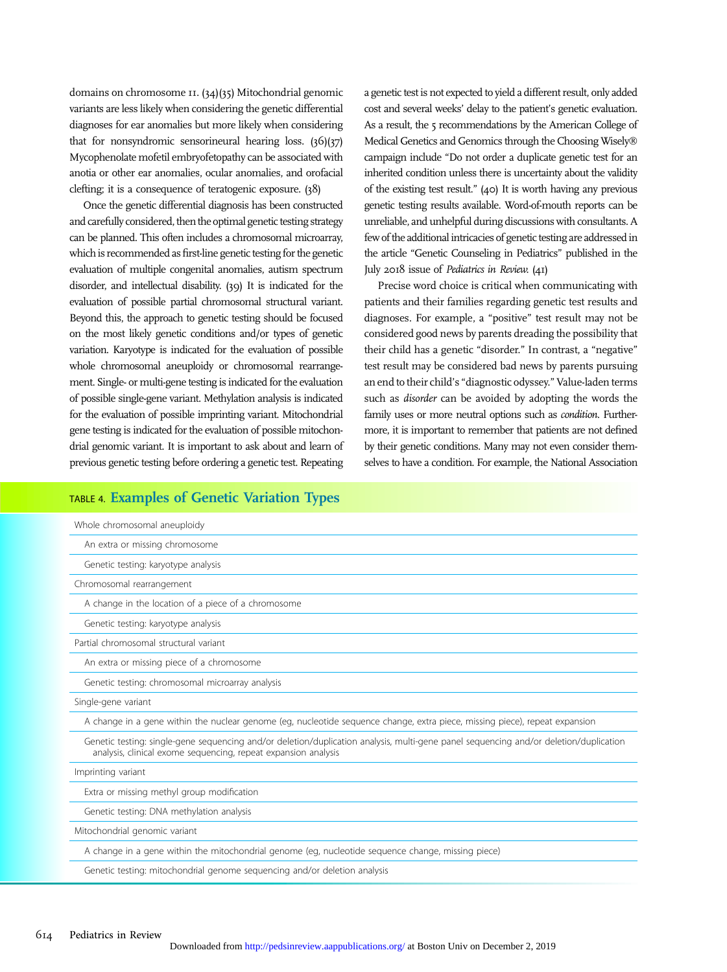domains on chromosome 11. (34)(35) Mitochondrial genomic variants are less likely when considering the genetic differential diagnoses for ear anomalies but more likely when considering that for nonsyndromic sensorineural hearing loss. (36)(37) Mycophenolate mofetil embryofetopathy can be associated with anotia or other ear anomalies, ocular anomalies, and orofacial clefting; it is a consequence of teratogenic exposure. (38)

Once the genetic differential diagnosis has been constructed and carefully considered, then the optimal genetic testing strategy can be planned. This often includes a chromosomal microarray, which is recommended as first-line genetic testing for the genetic evaluation of multiple congenital anomalies, autism spectrum disorder, and intellectual disability. (39) It is indicated for the evaluation of possible partial chromosomal structural variant. Beyond this, the approach to genetic testing should be focused on the most likely genetic conditions and/or types of genetic variation. Karyotype is indicated for the evaluation of possible whole chromosomal aneuploidy or chromosomal rearrangement. Single- or multi-gene testing is indicated for the evaluation of possible single-gene variant. Methylation analysis is indicated for the evaluation of possible imprinting variant. Mitochondrial gene testing is indicated for the evaluation of possible mitochondrial genomic variant. It is important to ask about and learn of previous genetic testing before ordering a genetic test. Repeating a genetic test is not expected to yield a different result, only added cost and several weeks' delay to the patient's genetic evaluation. As a result, the 5 recommendations by the American College of Medical Genetics and Genomics through the Choosing Wisely® campaign include "Do not order a duplicate genetic test for an inherited condition unless there is uncertainty about the validity of the existing test result." (40) It is worth having any previous genetic testing results available. Word-of-mouth reports can be unreliable, and unhelpful during discussions with consultants. A few of the additional intricacies of genetic testing are addressed in the article "Genetic Counseling in Pediatrics" published in the July 2018 issue of Pediatrics in Review. (41)

Precise word choice is critical when communicating with patients and their families regarding genetic test results and diagnoses. For example, a "positive" test result may not be considered good news by parents dreading the possibility that their child has a genetic "disorder." In contrast, a "negative" test result may be considered bad news by parents pursuing an end to their child's "diagnostic odyssey." Value-laden terms such as disorder can be avoided by adopting the words the family uses or more neutral options such as *condition*. Furthermore, it is important to remember that patients are not defined by their genetic conditions. Many may not even consider themselves to have a condition. For example, the National Association

| Whole chromosomal aneuploidy                                                                                                                                                                            |
|---------------------------------------------------------------------------------------------------------------------------------------------------------------------------------------------------------|
| An extra or missing chromosome                                                                                                                                                                          |
| Genetic testing: karyotype analysis                                                                                                                                                                     |
| Chromosomal rearrangement                                                                                                                                                                               |
| A change in the location of a piece of a chromosome                                                                                                                                                     |
| Genetic testing: karyotype analysis                                                                                                                                                                     |
| Partial chromosomal structural variant                                                                                                                                                                  |
| An extra or missing piece of a chromosome                                                                                                                                                               |
| Genetic testing: chromosomal microarray analysis                                                                                                                                                        |
| Single-gene variant                                                                                                                                                                                     |
| A change in a gene within the nuclear genome (eg, nucleotide sequence change, extra piece, missing piece), repeat expansion                                                                             |
| Genetic testing: single-gene sequencing and/or deletion/duplication analysis, multi-gene panel sequencing and/or deletion/duplication<br>analysis, clinical exome sequencing, repeat expansion analysis |
| Imprinting variant                                                                                                                                                                                      |
| Extra or missing methyl group modification                                                                                                                                                              |
| Genetic testing: DNA methylation analysis                                                                                                                                                               |
| Mitochondrial genomic variant                                                                                                                                                                           |
| A change in a gene within the mitochondrial genome (eq, nucleotide sequence change, missing piece)                                                                                                      |
| Genetic testing: mitochondrial genome sequencing and/or deletion analysis                                                                                                                               |

## TABLE 4. Examples of Genetic Variation Types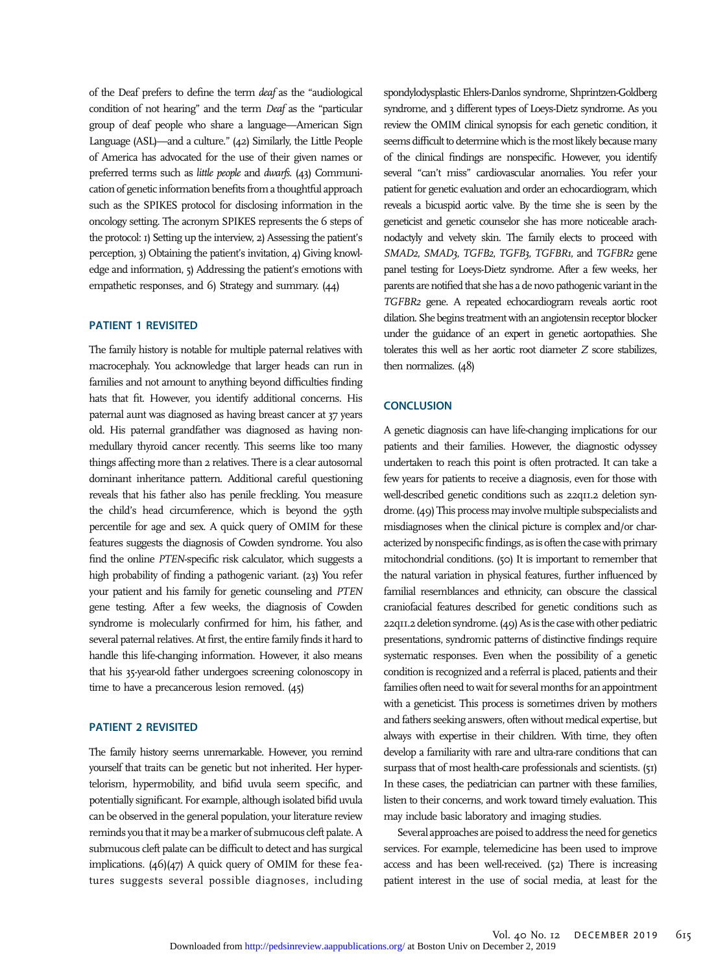of the Deaf prefers to define the term deaf as the "audiological condition of not hearing" and the term Deaf as the "particular group of deaf people who share a language—American Sign Language (ASL)—and a culture." (42) Similarly, the Little People of America has advocated for the use of their given names or preferred terms such as little people and dwarfs. (43) Communication of genetic information benefits from athoughtful approach such as the SPIKES protocol for disclosing information in the oncology setting. The acronym SPIKES represents the 6 steps of the protocol: 1) Setting up the interview, 2) Assessing the patient's perception, 3) Obtaining the patient's invitation, 4) Giving knowledge and information, 5) Addressing the patient's emotions with empathetic responses, and 6) Strategy and summary. (44)

## PATIENT 1 REVISITED

The family history is notable for multiple paternal relatives with macrocephaly. You acknowledge that larger heads can run in families and not amount to anything beyond difficulties finding hats that fit. However, you identify additional concerns. His paternal aunt was diagnosed as having breast cancer at 37 years old. His paternal grandfather was diagnosed as having nonmedullary thyroid cancer recently. This seems like too many things affecting more than 2 relatives. There is a clear autosomal dominant inheritance pattern. Additional careful questioning reveals that his father also has penile freckling. You measure the child's head circumference, which is beyond the 95th percentile for age and sex. A quick query of OMIM for these features suggests the diagnosis of Cowden syndrome. You also find the online PTEN-specific risk calculator, which suggests a high probability of finding a pathogenic variant. (23) You refer your patient and his family for genetic counseling and PTEN gene testing. After a few weeks, the diagnosis of Cowden syndrome is molecularly confirmed for him, his father, and several paternal relatives. At first, the entire family finds it hard to handle this life-changing information. However, it also means that his 35-year-old father undergoes screening colonoscopy in time to have a precancerous lesion removed. (45)

#### PATIENT 2 REVISITED

The family history seems unremarkable. However, you remind yourself that traits can be genetic but not inherited. Her hypertelorism, hypermobility, and bifid uvula seem specific, and potentially significant. For example, although isolated bifid uvula can be observed in the general population, your literature review reminds youthat itmay be amarker of submucous cleft palate. A submucous cleft palate can be difficult to detect and has surgical implications.  $(46)(47)$  A quick query of OMIM for these features suggests several possible diagnoses, including spondylodysplastic Ehlers-Danlos syndrome, Shprintzen-Goldberg syndrome, and 3 different types of Loeys-Dietz syndrome. As you review the OMIM clinical synopsis for each genetic condition, it seems difficult to determine which is the most likely because many of the clinical findings are nonspecific. However, you identify several "can't miss" cardiovascular anomalies. You refer your patient for genetic evaluation and order an echocardiogram, which reveals a bicuspid aortic valve. By the time she is seen by the geneticist and genetic counselor she has more noticeable arachnodactyly and velvety skin. The family elects to proceed with SMAD2, SMAD3, TGFB2, TGFB3, TGFBR1, and TGFBR2 gene panel testing for Loeys-Dietz syndrome. After a few weeks, her parents are notified that she has a de novo pathogenic variant in the TGFBR2 gene. A repeated echocardiogram reveals aortic root dilation. She begins treatment with an angiotensin receptor blocker under the guidance of an expert in genetic aortopathies. She tolerates this well as her aortic root diameter Z score stabilizes, then normalizes. (48)

#### **CONCLUSION**

A genetic diagnosis can have life-changing implications for our patients and their families. However, the diagnostic odyssey undertaken to reach this point is often protracted. It can take a few years for patients to receive a diagnosis, even for those with well-described genetic conditions such as 22q11.2 deletion syndrome. (49) This process may involve multiple subspecialists and misdiagnoses when the clinical picture is complex and/or characterized by nonspecific findings, as is often the case with primary mitochondrial conditions. (50) It is important to remember that the natural variation in physical features, further influenced by familial resemblances and ethnicity, can obscure the classical craniofacial features described for genetic conditions such as 22q11.2 deletion syndrome. (49) As is the case with other pediatric presentations, syndromic patterns of distinctive findings require systematic responses. Even when the possibility of a genetic condition is recognized and a referral is placed, patients and their families often need to wait for several months for an appointment with a geneticist. This process is sometimes driven by mothers and fathers seeking answers, often without medical expertise, but always with expertise in their children. With time, they often develop a familiarity with rare and ultra-rare conditions that can surpass that of most health-care professionals and scientists. (51) In these cases, the pediatrician can partner with these families, listen to their concerns, and work toward timely evaluation. This may include basic laboratory and imaging studies.

Several approaches are poised to address the need for genetics services. For example, telemedicine has been used to improve access and has been well-received. (52) There is increasing patient interest in the use of social media, at least for the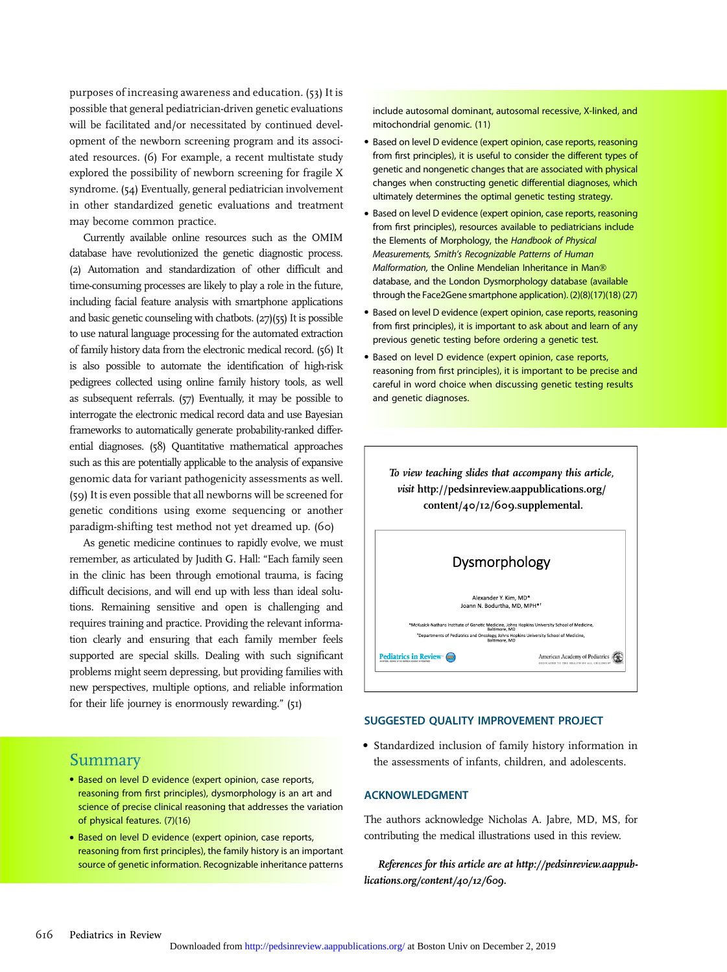purposes of increasing awareness and education. (53) It is possible that general pediatrician-driven genetic evaluations will be facilitated and/or necessitated by continued development of the newborn screening program and its associated resources. (6) For example, a recent multistate study explored the possibility of newborn screening for fragile X syndrome. (54) Eventually, general pediatrician involvement in other standardized genetic evaluations and treatment may become common practice.

Currently available online resources such as the OMIM database have revolutionized the genetic diagnostic process. (2) Automation and standardization of other difficult and time-consuming processes are likely to play a role in the future, including facial feature analysis with smartphone applications and basic genetic counseling with chatbots. (27)(55) It is possible to use natural language processing for the automated extraction of family history data from the electronic medical record. (56) It is also possible to automate the identification of high-risk pedigrees collected using online family history tools, as well as subsequent referrals. (57) Eventually, it may be possible to interrogate the electronic medical record data and use Bayesian frameworks to automatically generate probability-ranked differential diagnoses. (58) Quantitative mathematical approaches such as this are potentially applicable to the analysis of expansive genomic data for variant pathogenicity assessments as well. (59) It is even possible that all newborns will be screened for genetic conditions using exome sequencing or another paradigm-shifting test method not yet dreamed up. (60)

As genetic medicine continues to rapidly evolve, we must remember, as articulated by Judith G. Hall: "Each family seen in the clinic has been through emotional trauma, is facing difficult decisions, and will end up with less than ideal solutions. Remaining sensitive and open is challenging and requires training and practice. Providing the relevant information clearly and ensuring that each family member feels supported are special skills. Dealing with such significant problems might seem depressing, but providing families with new perspectives, multiple options, and reliable information for their life journey is enormously rewarding." (51)

include autosomal dominant, autosomal recessive, X-linked, and mitochondrial genomic. (11)

- Based on level D evidence (expert opinion, case reports, reasoning from first principles), it is useful to consider the different types of genetic and nongenetic changes that are associated with physical changes when constructing genetic differential diagnoses, which ultimately determines the optimal genetic testing strategy.
- Based on level D evidence (expert opinion, case reports, reasoning from first principles), resources available to pediatricians include the Elements of Morphology, the Handbook of Physical Measurements, Smith's Recognizable Patterns of Human Malformation, the Online Mendelian Inheritance in Man® database, and the London Dysmorphology database (available through the Face2Gene smartphone application). (2)(8)(17)(18) (27)
- Based on level D evidence (expert opinion, case reports, reasoning from first principles), it is important to ask about and learn of any previous genetic testing before ordering a genetic test.
- Based on level D evidence (expert opinion, case reports, reasoning from first principles), it is important to be precise and careful in word choice when discussing genetic testing results and genetic diagnoses.

## To view teaching slides that accompany this article, visit [http://pedsinreview.aappublications.org/](http://pedsinreview.aappublications.org/content/40/12/609.supplemental) [content/40/12/609.supplemental](http://pedsinreview.aappublications.org/content/40/12/609.supplemental).



#### SUGGESTED QUALITY IMPROVEMENT PROJECT

• Standardized inclusion of family history information in the assessments of infants, children, and adolescents.

#### ACKNOWLEDGMENT

The authors acknowledge Nicholas A. Jabre, MD, MS, for contributing the medical illustrations used in this review.

References for this article are at [http://pedsinreview.aappub](http://pedsinreview.aappublications.org/content/40/12/609)[lications.org/content/40/12/609](http://pedsinreview.aappublications.org/content/40/12/609).

## Summary

- Based on level D evidence (expert opinion, case reports, reasoning from first principles), dysmorphology is an art and science of precise clinical reasoning that addresses the variation of physical features. (7)(16)
- Based on level D evidence (expert opinion, case reports, reasoning from first principles), the family history is an important source of genetic information. Recognizable inheritance patterns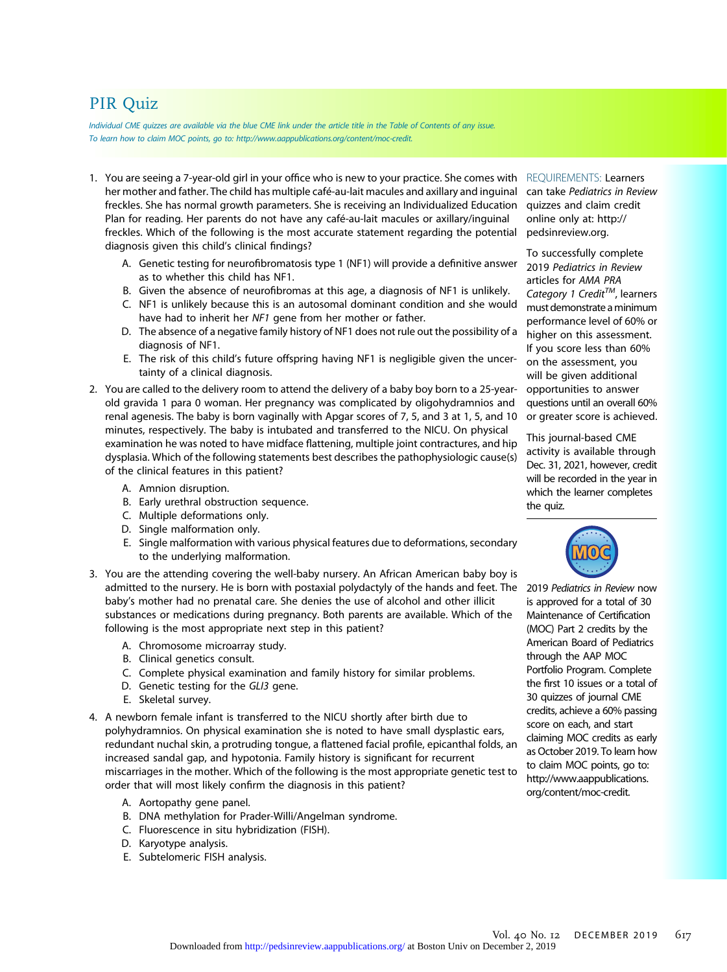# PIR Quiz

Individual CME quizzes are available via the blue CME link under the article title in the Table of Contents of any issue. To learn how to claim MOC points, go to: [http://www.aappublications.org/content/moc-credit.](http://www.aappublications.org/content/moc-credit)

- 1. You are seeing a 7-year-old girl in your office who is new to your practice. She comes with her mother and father. The child has multiple café-au-lait macules and axillary and inguinal freckles. She has normal growth parameters. She is receiving an Individualized Education Plan for reading. Her parents do not have any café-au-lait macules or axillary/inguinal freckles. Which of the following is the most accurate statement regarding the potential diagnosis given this child's clinical findings?
	- A. Genetic testing for neurofibromatosis type 1 (NF1) will provide a definitive answer as to whether this child has NF1.
	- B. Given the absence of neurofibromas at this age, a diagnosis of NF1 is unlikely.
	- C. NF1 is unlikely because this is an autosomal dominant condition and she would have had to inherit her NF1 gene from her mother or father.
	- D. The absence of a negative family history of NF1 does not rule out the possibility of a diagnosis of NF1.
	- E. The risk of this child's future offspring having NF1 is negligible given the uncertainty of a clinical diagnosis.
- 2. You are called to the delivery room to attend the delivery of a baby boy born to a 25-yearold gravida 1 para 0 woman. Her pregnancy was complicated by oligohydramnios and renal agenesis. The baby is born vaginally with Apgar scores of 7, 5, and 3 at 1, 5, and 10 minutes, respectively. The baby is intubated and transferred to the NICU. On physical examination he was noted to have midface flattening, multiple joint contractures, and hip dysplasia. Which of the following statements best describes the pathophysiologic cause(s) of the clinical features in this patient?
	- A. Amnion disruption.
	- B. Early urethral obstruction sequence.
	- C. Multiple deformations only.
	- D. Single malformation only.
	- E. Single malformation with various physical features due to deformations, secondary to the underlying malformation.
- admitted to the nursery. He is born with postaxial polydactyly of the hands and feet. The 2019 Pediatrics in Review now 3. You are the attending covering the well-baby nursery. An African American baby boy is baby's mother had no prenatal care. She denies the use of alcohol and other illicit substances or medications during pregnancy. Both parents are available. Which of the following is the most appropriate next step in this patient?
	- A. Chromosome microarray study.
	- B. Clinical genetics consult.
	- C. Complete physical examination and family history for similar problems.
	- D. Genetic testing for the GLI3 gene.
	- E. Skeletal survey.
- 4. A newborn female infant is transferred to the NICU shortly after birth due to polyhydramnios. On physical examination she is noted to have small dysplastic ears, redundant nuchal skin, a protruding tongue, a flattened facial profile, epicanthal folds, an increased sandal gap, and hypotonia. Family history is significant for recurrent miscarriages in the mother. Which of the following is the most appropriate genetic test to order that will most likely confirm the diagnosis in this patient?
	- A. Aortopathy gene panel.
	- B. DNA methylation for Prader-Willi/Angelman syndrome.
	- C. Fluorescence in situ hybridization (FISH).
	- D. Karyotype analysis.
	- E. Subtelomeric FISH analysis.

#### REQUIREMENTS: Learners

can take Pediatrics in Review quizzes and claim credit online only at: [http://](http://pedsinreview.org) [pedsinreview.org](http://pedsinreview.org).

To successfully complete 2019 Pediatrics in Review articles for AMA PRA Category 1 Credit<sup>TM</sup>, learners must demonstrate aminimum performance level of 60% or higher on this assessment. If you score less than 60% on the assessment, you will be given additional opportunities to answer questions until an overall 60% or greater score is achieved.

This journal-based CME activity is available through Dec. 31, 2021, however, credit will be recorded in the year in which the learner completes the quiz.



is approved for a total of 30 Maintenance of Certification (MOC) Part 2 credits by the American Board of Pediatrics through the AAP MOC Portfolio Program. Complete the first 10 issues or a total of 30 quizzes of journal CME credits, achieve a 60% passing score on each, and start claiming MOC credits as early as October 2019. To learn how to claim MOC points, go to: [http://www.aappublications.](http://www.aappublications.org/content/moc-credit) [org/content/moc-credit](http://www.aappublications.org/content/moc-credit).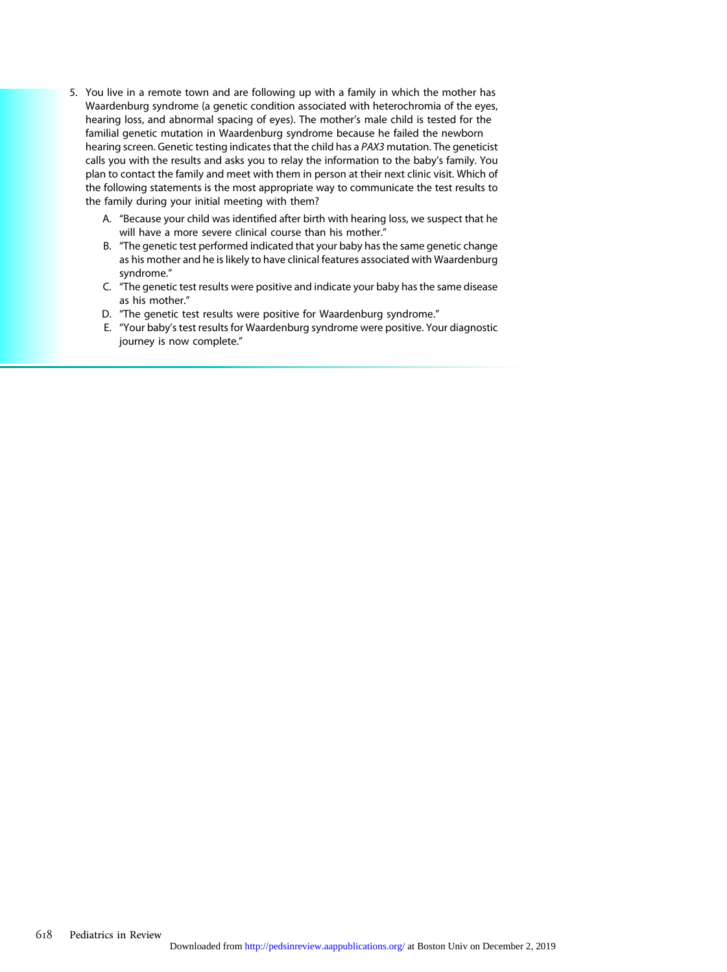- 5. You live in a remote town and are following up with a family in which the mother has Waardenburg syndrome (a genetic condition associated with heterochromia of the eyes, hearing loss, and abnormal spacing of eyes). The mother's male child is tested for the familial genetic mutation in Waardenburg syndrome because he failed the newborn hearing screen. Genetic testing indicates that the child has a PAX3 mutation. The geneticist calls you with the results and asks you to relay the information to the baby's family. You plan to contact the family and meet with them in person at their next clinic visit. Which of the following statements is the most appropriate way to communicate the test results to the family during your initial meeting with them?
	- A. "Because your child was identified after birth with hearing loss, we suspect that he will have a more severe clinical course than his mother."
	- B. "The genetic test performed indicated that your baby has the same genetic change as his mother and he is likely to have clinical features associated with Waardenburg syndrome."
	- C. "The genetic test results were positive and indicate your baby has the same disease as his mother."
	- D. "The genetic test results were positive for Waardenburg syndrome."
	- E. "Your baby's test results for Waardenburg syndrome were positive. Your diagnostic journey is now complete."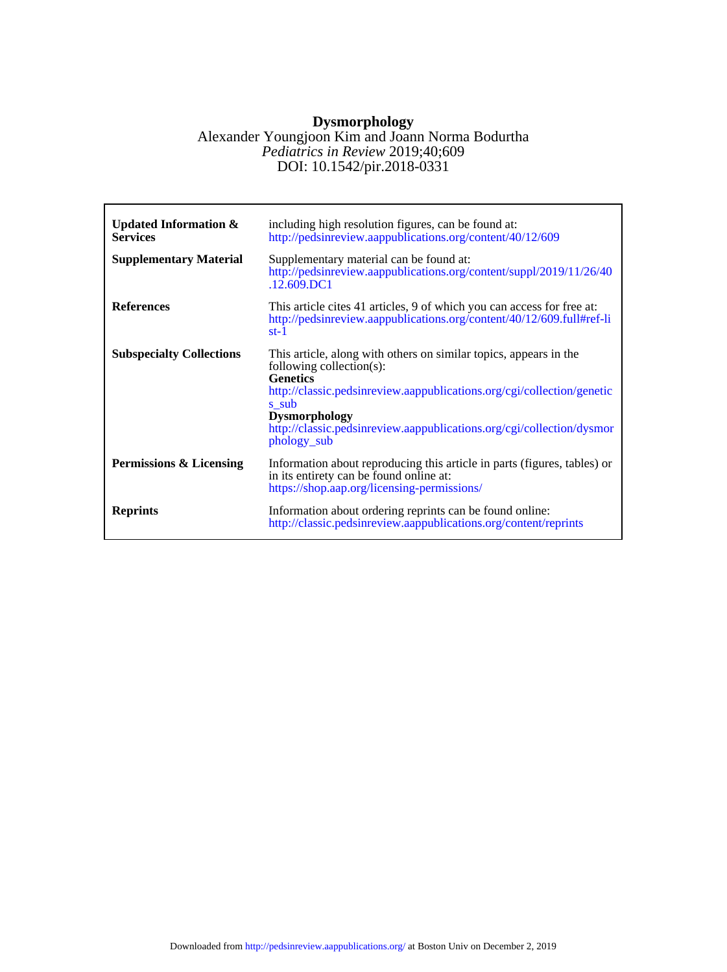## **Dysmorphology**

## DOI: 10.1542/pir.2018-0331 *Pediatrics in Review* 2019;40;609 Alexander Youngjoon Kim and Joann Norma Bodurtha

| <b>Updated Information &amp;</b><br><b>Services</b><br><b>Supplementary Material</b> | including high resolution figures, can be found at:<br>http://pedsinreview.aappublications.org/content/40/12/609<br>Supplementary material can be found at:<br>http://pedsinreview.aappublications.org/content/suppl/2019/11/26/40<br>$.12.609$ , DC1                                                                   |
|--------------------------------------------------------------------------------------|-------------------------------------------------------------------------------------------------------------------------------------------------------------------------------------------------------------------------------------------------------------------------------------------------------------------------|
| <b>References</b>                                                                    | This article cites 41 articles, 9 of which you can access for free at:<br>http://pedsinreview.aappublications.org/content/40/12/609.full#ref-li<br>$st-1$                                                                                                                                                               |
| <b>Subspecialty Collections</b>                                                      | This article, along with others on similar topics, appears in the<br>following collection $(s)$ :<br><b>Genetics</b><br>http://classic.pedsinreview.aappublications.org/cgi/collection/genetic<br>s sub<br><b>Dysmorphology</b><br>http://classic.pedsinreview.aappublications.org/cgi/collection/dysmor<br>phology_sub |
| Permissions & Licensing                                                              | Information about reproducing this article in parts (figures, tables) or<br>in its entirety can be found online at:<br>https://shop.aap.org/licensing-permissions/                                                                                                                                                      |
| <b>Reprints</b>                                                                      | Information about ordering reprints can be found online:<br>http://classic.pedsinreview.aappublications.org/content/reprints                                                                                                                                                                                            |